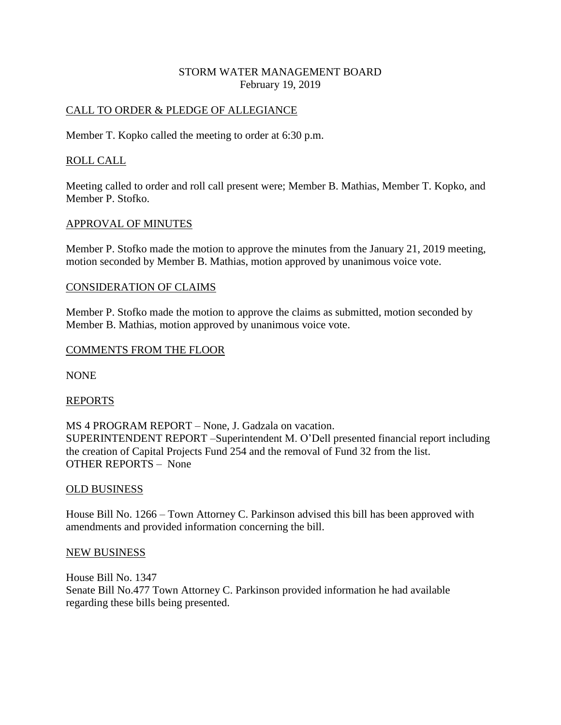# STORM WATER MANAGEMENT BOARD February 19, 2019

## CALL TO ORDER & PLEDGE OF ALLEGIANCE

Member T. Kopko called the meeting to order at 6:30 p.m.

## ROLL CALL

Meeting called to order and roll call present were; Member B. Mathias, Member T. Kopko, and Member P. Stofko.

## APPROVAL OF MINUTES

Member P. Stofko made the motion to approve the minutes from the January 21, 2019 meeting, motion seconded by Member B. Mathias, motion approved by unanimous voice vote.

## CONSIDERATION OF CLAIMS

Member P. Stofko made the motion to approve the claims as submitted, motion seconded by Member B. Mathias, motion approved by unanimous voice vote.

## COMMENTS FROM THE FLOOR

NONE

#### REPORTS

MS 4 PROGRAM REPORT – None, J. Gadzala on vacation. SUPERINTENDENT REPORT –Superintendent M. O'Dell presented financial report including the creation of Capital Projects Fund 254 and the removal of Fund 32 from the list. OTHER REPORTS – None

#### OLD BUSINESS

House Bill No. 1266 – Town Attorney C. Parkinson advised this bill has been approved with amendments and provided information concerning the bill.

#### NEW BUSINESS

House Bill No. 1347 Senate Bill No.477 Town Attorney C. Parkinson provided information he had available regarding these bills being presented.